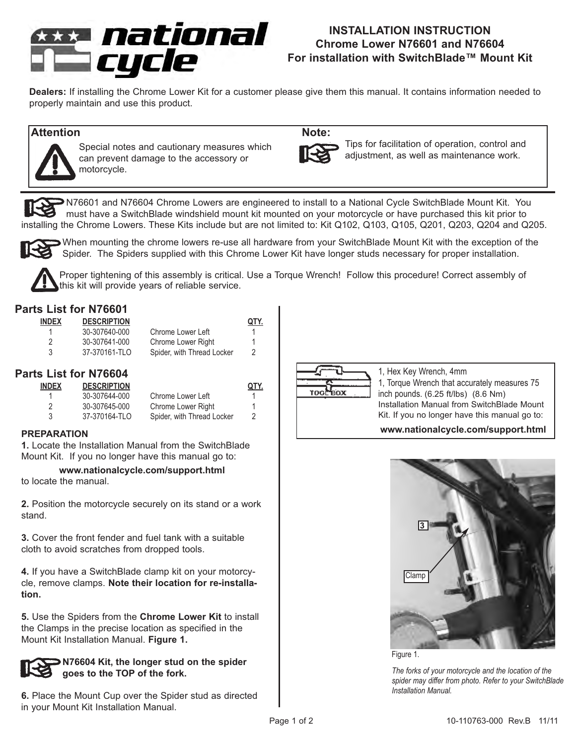

# **INSTALLATION INSTRUCTION Chrome Lower N76601 and N76604 For installation with SwitchBlade™ Mount Kit**

**Dealers:** If installing the Chrome Lower Kit for a customer please give them this manual. It contains information needed to properly maintain and use this product.

## **Attention Note:**



Special notes and cautionary measures which can prevent damage to the accessory or motorcycle.

Tips for facilitation of operation, control and adjustment, as well as maintenance work.

N76601 and N76604 Chrome Lowers are engineered to install to a National Cycle SwitchBlade Mount Kit. You must have a SwitchBlade windshield mount kit mounted on your motorcycle or have purchased this kit prior to installing the Chrome Lowers. These Kits include but are not limited to: Kit Q102, Q103, Q105, Q201, Q203, Q204 and Q205.



When mounting the chrome lowers re-use all hardware from your SwitchBlade Mount Kit with the exception of the Spider. The Spiders supplied with this Chrome Lower Kit have longer studs necessary for proper installation.



Proper tightening of this assembly is critical. Use a Torque Wrench! Follow this procedure! Correct assembly of this kit will provide years of reliable service.

# **Parts List for N76601**

| <b>INDEX</b> | <b>DESCRIPTION</b> |                            | QTY. |
|--------------|--------------------|----------------------------|------|
| 1            | 30-307640-000      | Chrome Lower Left          | 1    |
| 2            | 30-307641-000      | Chrome Lower Right         | 1    |
| 3            | 37-370161-TLO      | Spider, with Thread Locker | 2    |

# **Parts List for N76604**

| <b>INDEX</b> | <b>DESCRIPTION</b> |                            | QTY. |
|--------------|--------------------|----------------------------|------|
|              | 30-307644-000      | Chrome Lower Left          | 1    |
| 2            | 30-307645-000      | Chrome Lower Right         | 1    |
| 3            | 37-370164-TLO      | Spider, with Thread Locker | 2    |

#### **PREPARATION**

**1.** Locate the Installation Manual from the SwitchBlade Mount Kit. If you no longer have this manual go to:

#### **www.nationalcycle.com/support.html**

to locate the manual.

**2.** Position the motorcycle securely on its stand or a work stand.

**3.** Cover the front fender and fuel tank with a suitable cloth to avoid scratches from dropped tools.

**4.** If you have a SwitchBlade clamp kit on your motorcycle, remove clamps. **Note their location for re-installation.**

**5.** Use the Spiders from the **Chrome Lower Kit** to install the Clamps in the precise location as specified in the Mount Kit Installation Manual. **Figure 1.**

## **N76604 Kit, the longer stud on the spider goes to the TOP of the fork.**

**6.** Place the Mount Cup over the Spider stud as directed in your Mount Kit Installation Manual.



1, Hex Key Wrench, 4mm 1, Torque Wrench that accurately measures 75 inch pounds. (6.25 ft/lbs) (8.6 Nm) Installation Manual from SwitchBlade Mount Kit. If you no longer have this manual go to:

### **www.nationalcycle.com/support.html**



Figure 1.

*The forks of your motorcycle and the location of the spider may differ from photo. Refer to your SwitchBlade Installation Manual.*